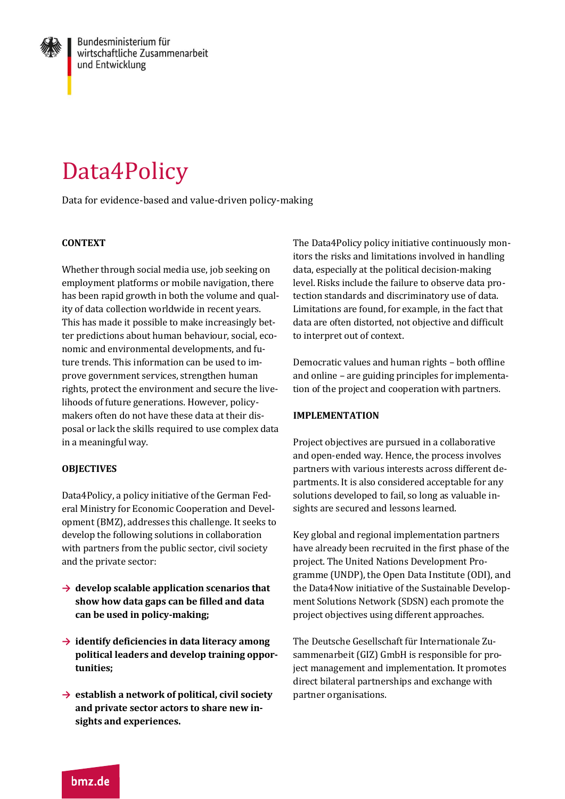

# Data4Policy

Data for evidence-based and value-driven policy-making

## **CONTEXT**

Whether through social media use, job seeking on employment platforms or mobile navigation, there has been rapid growth in both the volume and quality of data collection worldwide in recent years. This has made it possible to make increasingly better predictions about human behaviour, social, economic and environmental developments, and future trends. This information can be used to improve government services, strengthen human rights, protect the environment and secure the livelihoods of future generations. However, policymakers often do not have these data at their disposal or lack the skills required to use complex data in a meaningful way.

## **OBJECTIVES**

Data4Policy, a policy initiative of the German Federal Ministry for Economic Cooperation and Development (BMZ), addresses this challenge. It seeks to develop the following solutions in collaboration with partners from the public sector, civil society and the private sector:

- **→ develop scalable application scenarios that show how data gaps can be filled and data can be used in policy-making;**
- **→ identify deficiencies in data literacy among political leaders and develop training opportunities;**
- **→ establish a network of political, civil society and private sector actors to share new insights and experiences.**

The Data4Policy policy initiative continuously monitors the risks and limitations involved in handling data, especially at the political decision-making level. Risks include the failure to observe data protection standards and discriminatory use of data. Limitations are found, for example, in the fact that data are often distorted, not objective and difficult to interpret out of context.

Democratic values and human rights – both offline and online – are guiding principles for implementation of the project and cooperation with partners.

#### **IMPLEMENTATION**

Project objectives are pursued in a collaborative and open-ended way. Hence, the process involves partners with various interests across different departments. It is also considered acceptable for any solutions developed to fail, so long as valuable insights are secured and lessons learned.

Key global and regional implementation partners have already been recruited in the first phase of the project. The United Nations Development Programme (UNDP), the Open Data Institute (ODI), and the Data4Now initiative of the Sustainable Development Solutions Network (SDSN) each promote the project objectives using different approaches.

The Deutsche Gesellschaft für Internationale Zusammenarbeit (GIZ) GmbH is responsible for project management and implementation. It promotes direct bilateral partnerships and exchange with partner organisations.